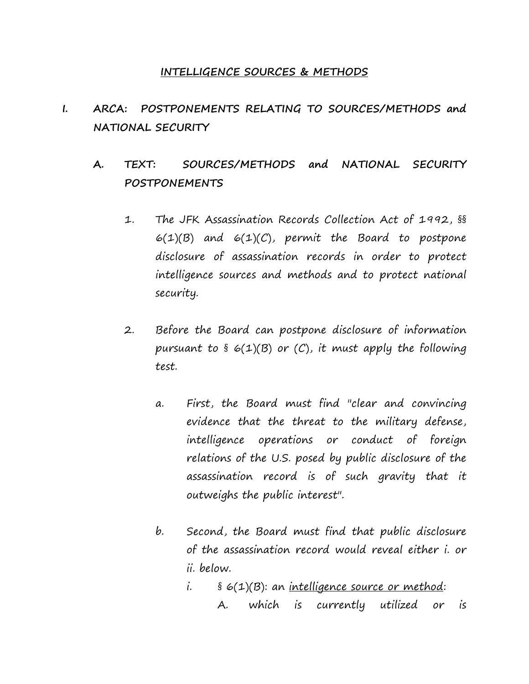#### **INTELLIGENCE SOURCES & METHODS**

# **I. ARCA: POSTPONEMENTS RELATING TO SOURCES/METHODS and NATIONAL SECURITY**

# **A. TEXT: SOURCES/METHODS and NATIONAL SECURITY POSTPONEMENTS**

- 1. The JFK Assassination Records Collection Act of 1992, §§  $6(1)(B)$  and  $6(1)(C)$ , permit the Board to postpone disclosure of assassination records in order to protect intelligence sources and methods and to protect national security.
- 2. Before the Board can postpone disclosure of information pursuant to  $\S$  6(1)(B) or (C), it must apply the following test.
	- a. First, the Board must find "clear and convincing evidence that the threat to the military defense, intelligence operations or conduct of foreign relations of the U.S. posed by public disclosure of the assassination record is of such gravity that it outweighs the public interest".
	- b. Second, the Board must find that public disclosure of the assassination record would reveal either i. or ii. below.
		- $i.$  §  $6(1)(B)$ : an <u>intelligence source or method</u>: A. which is currently utilized or is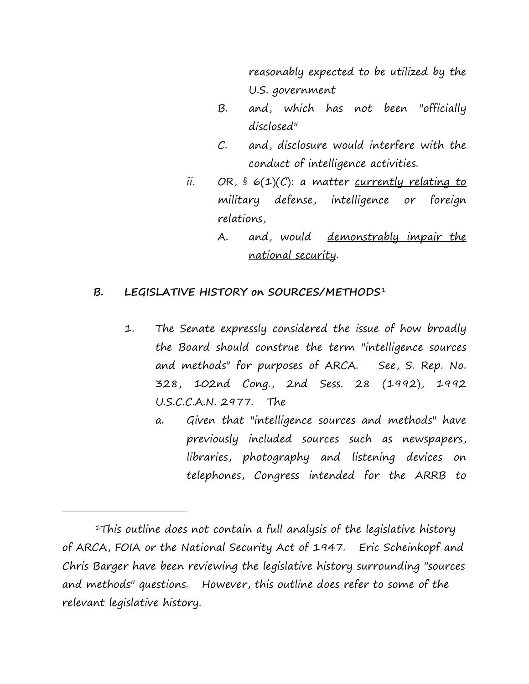reasonably expected to be utilized by the U.S. government

- B. and, which has not been "officially disclosed"
- C. and, disclosure would interfere with the conduct of intelligence activities.
- ii. OR,  $\S$   $\epsilon(1)(C)$ : a matter currently relating to military defense, intelligence or foreign relations,
	- A. and, would <u>demonstrably impair the</u> national security.

## **B. LEGISLATIVE HISTORY on SOURCES/METHODS**[1](#page-1-0)

- 1. The Senate expressly considered the issue of how broadly the Board should construe the term "intelligence sources and methods" for purposes of ARCA. See, S. Rep. No. 328, 102nd Cong., 2nd Sess. 28 (1992), 1992 U.S.C.C.A.N. 2977. The
	- a. Given that "intelligence sources and methods" have previously included sources such as newspapers, libraries, photography and listening devices on telephones, Congress intended for the ARRB to

i<br>I

<span id="page-1-0"></span><sup>&</sup>lt;sup>1</sup>This outline does not contain a full analysis of the legislative history of ARCA, FOIA or the National Security Act of 1947. Eric Scheinkopf and Chris Barger have been reviewing the legislative history surrounding "sources and methods" questions. However, this outline does refer to some of the relevant legislative history.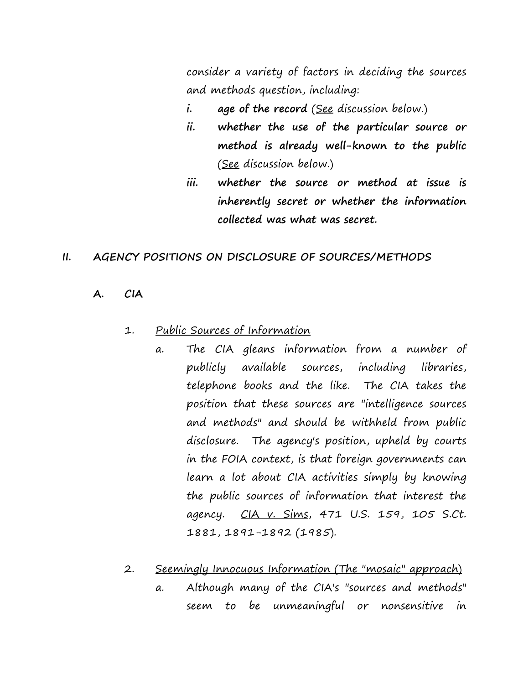consider a variety of factors in deciding the sources and methods question, including:

- **i. age of the record** (See discussion below.)
- **ii. whether the use of the particular source or method is already well-known to the public**  (See discussion below.)
- **iii. whether the source or method at issue is inherently secret or whether the information collected was what was secret.**

#### **II. AGENCY POSITIONS ON DISCLOSURE OF SOURCES/METHODS**

**A. CIA**

#### 1. Public Sources of Information

a. The CIA gleans information from a number of publicly available sources, including libraries, telephone books and the like. The CIA takes the position that these sources are "intelligence sources and methods" and should be withheld from public disclosure. The agency's position, upheld by courts in the FOIA context, is that foreign governments can learn a lot about CIA activities simply by knowing the public sources of information that interest the agency.CIA v. Sims, 471 U.S. 159, 105 S.Ct. 1881, 1891-1892 (1985).

#### 2. Seemingly Innocuous Information (The "mosaic" approach)

a. Although many of the CIA's "sources and methods" seem to be unmeaningful or nonsensitive in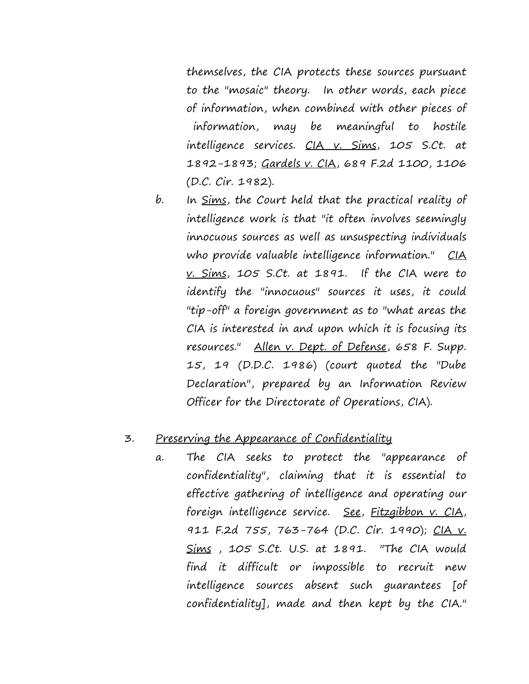themselves, the CIA protects these sources pursuant to the "mosaic" theory. In other words, each piece of information, when combined with other pieces of information, may be meaningful to hostile intelligence services. CIA v. Sims, 105 S.Ct. at 1892-1893; Gardels v. CIA, 689 F.2d 1100, 1106 (D.C. Cir. 1982).

b. In <u>Sims</u>, the Court held that the practical reality of intelligence work is that "it often involves seemingly innocuous sources as well as unsuspecting individuals who provide valuable intelligence information." CIA v. Sims, 105 S.Ct. at 1891. If the CIA were to identify the "innocuous" sources it uses, it could "tip-off" a foreign government as to "what areas the CIA is interested in and upon which it is focusing its resources." Allen v. Dept. of Defense, 658 F. Supp. 15, 19 (D.D.C. 1986) (court quoted the "Dube Declaration", prepared by an Information Review Officer for the Directorate of Operations, CIA).

## 3. Preserving the Appearance of Confidentiality

a. The CIA seeks to protect the "appearance of confidentiality", claiming that it is essential to effective gathering of intelligence and operating our foreign intelligence service. See, Fitzgibbon v. CIA, 911 F.2d 755, 763-764 (D.C. Cir. 1990); CIA v. Sims , 105 S.Ct. U.S. at 1891. "The CIA would find it difficult or impossible to recruit new intelligence sources absent such guarantees [of confidentiality], made and then kept by the CIA."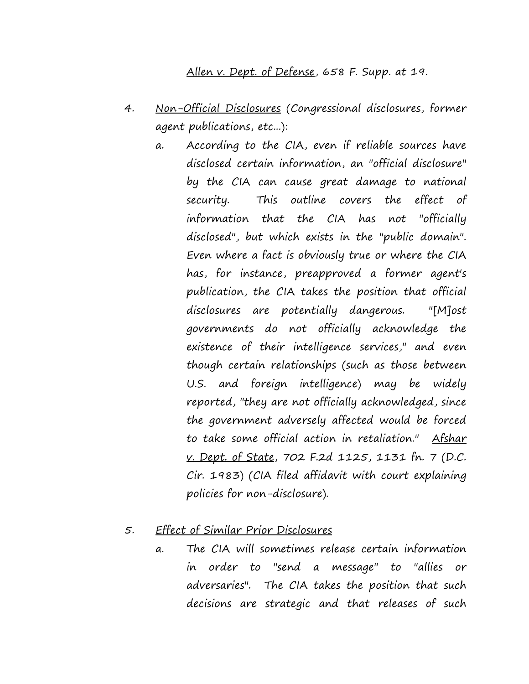#### Allen v. Dept. of Defense, 658 F. Supp. at 19.

- 4. Non-Official Disclosures (Congressional disclosures, former agent publications, etc...):
	- a. According to the CIA, even if reliable sources have disclosed certain information, an "official disclosure" by the CIA can cause great damage to national security. This outline covers the effect of information that the CIA has not "officially disclosed", but which exists in the "public domain". Even where a fact is obviously true or where the CIA has, for instance, preapproved a former agent's publication, the CIA takes the position that official disclosures are potentially dangerous. "[M]ost governments do not officially acknowledge the existence of their intelligence services," and even though certain relationships (such as those between U.S. and foreign intelligence) may be widely reported, "they are not officially acknowledged, since the government adversely affected would be forced to take some official action in retaliation." Afshar v. Dept. of State, 702 F.2d 1125, 1131 fn. 7 (D.C. Cir. 1983) (CIA filed affidavit with court explaining policies for non-disclosure).

#### 5. Effect of Similar Prior Disclosures

a. The CIA will sometimes release certain information in order to "send a message" to "allies or adversaries". The CIA takes the position that such decisions are strategic and that releases of such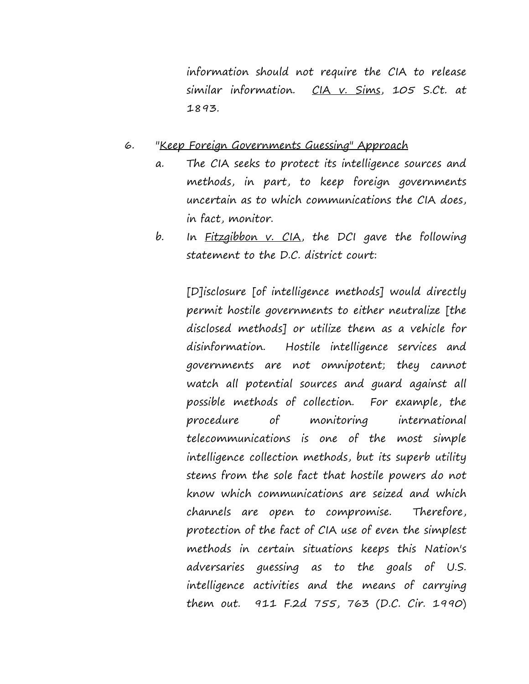information should not require the CIA to release similar information. CIA v. Sims, 105 S.Ct. at 1893.

#### 6. "Keep Foreign Governments Guessing" Approach

- a. The CIA seeks to protect its intelligence sources and methods, in part, to keep foreign governments uncertain as to which communications the CIA does, in fact, monitor.
- b. In Fitzgibbon v. CIA, the DCI gave the following statement to the D.C. district court:

[D]isclosure [of intelligence methods] would directly permit hostile governments to either neutralize [the disclosed methods] or utilize them as a vehicle for disinformation. Hostile intelligence services and governments are not omnipotent; they cannot watch all potential sources and guard against all possible methods of collection. For example, the procedure of monitoring international telecommunications is one of the most simple intelligence collection methods, but its superb utility stems from the sole fact that hostile powers do not know which communications are seized and which channels are open to compromise. Therefore, protection of the fact of CIA use of even the simplest methods in certain situations keeps this Nation's adversaries guessing as to the goals of U.S. intelligence activities and the means of carrying them out. 911 F.2d 755, 763 (D.C. Cir. 1990)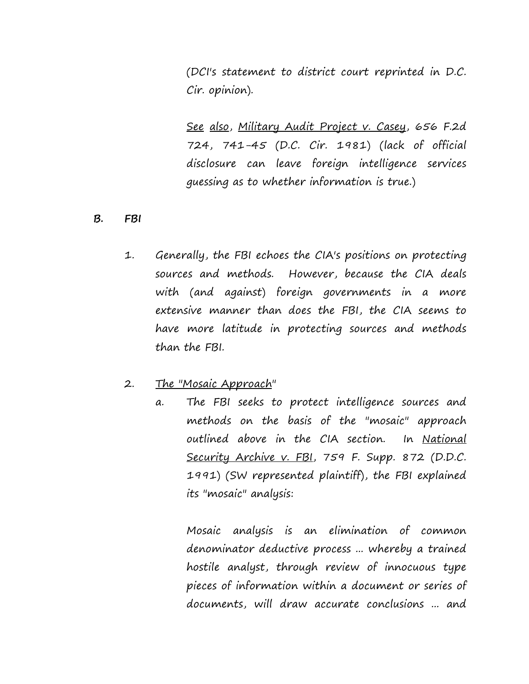(DCI's statement to district court reprinted in D.C. Cir. opinion).

See also, Military Audit Project v. Casey, 656 F.2d 724, 741-45 (D.C. Cir. 1981) (lack of official disclosure can leave foreign intelligence services guessing as to whether information is true.)

#### **B. FBI**

1. Generally, the FBI echoes the CIA's positions on protecting sources and methods. However, because the CIA deals with (and against) foreign governments in a more extensive manner than does the FBI, the CIA seems to have more latitude in protecting sources and methods than the FBI.

#### 2. The "Mosaic Approach"

a. The FBI seeks to protect intelligence sources and methods on the basis of the "mosaic" approach outlined above in the CIA section. In National Security Archive v. FBI, 759 F. Supp. 872 (D.D.C. 1991) (SW represented plaintiff), the FBI explained its "mosaic" analysis:

Mosaic analysis is an elimination of common denominator deductive process ... whereby a trained hostile analyst, through review of innocuous type pieces of information within a document or series of documents, will draw accurate conclusions ... and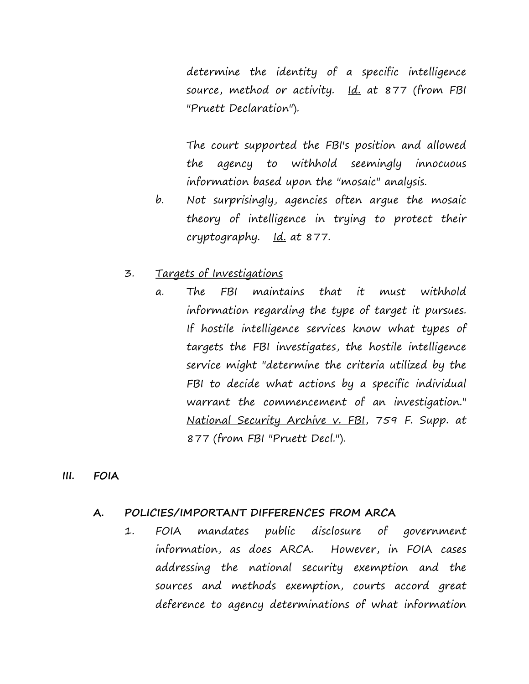determine the identity of a specific intelligence source, method or activity. Id. at 877 (from FBI "Pruett Declaration").

The court supported the FBI's position and allowed the agency to withhold seemingly innocuous information based upon the "mosaic" analysis.

b. Not surprisingly, agencies often argue the mosaic theory of intelligence in trying to protect their cryptography. <u>Id.</u> at 877.

## 3. Targets of Investigations

a. The FBI maintains that it must withhold information regarding the type of target it pursues. If hostile intelligence services know what types of targets the FBI investigates, the hostile intelligence service might "determine the criteria utilized by the FBI to decide what actions by a specific individual warrant the commencement of an investigation." National Security Archive v. FBI, 759 F. Supp. at 877 (from FBI "Pruett Decl.").

#### **III. FOIA**

#### **A. POLICIES/IMPORTANT DIFFERENCES FROM ARCA**

1. FOIA mandates public disclosure of government information, as does ARCA. However, in FOIA cases addressing the national security exemption and the sources and methods exemption, courts accord great deference to agency determinations of what information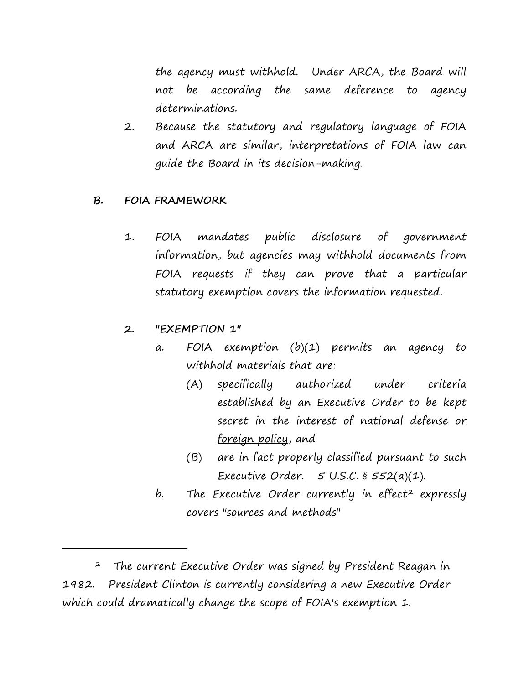the agency must withhold. Under ARCA, the Board will not be according the same deference to agency determinations.

2. Because the statutory and regulatory language of FOIA and ARCA are similar, interpretations of FOIA law can guide the Board in its decision-making.

### **B. FOIA FRAMEWORK**

1. FOIA mandates public disclosure of government information, but agencies may withhold documents from FOIA requests if they can prove that a particular statutory exemption covers the information requested.

## **2. "EXEMPTION 1"**

i<br>I

- a. FOIA exemption (b)(1) permits an agency to withhold materials that are:
	- (A) specifically authorized under criteria established by an Executive Order to be kept secret in the interest of national defense or foreign policy, and
	- (B) are in fact properly classified pursuant to such Executive Order. 5 U.S.C. § 552(a)(1).
- b. The Executive Order currently in effect<sup>[2](#page-8-0)</sup> expressly covers "sources and methods"

<span id="page-8-0"></span> 2 The current Executive Order was signed by President Reagan in 1982. President Clinton is currently considering a new Executive Order which could dramatically change the scope of FOIA's exemption 1.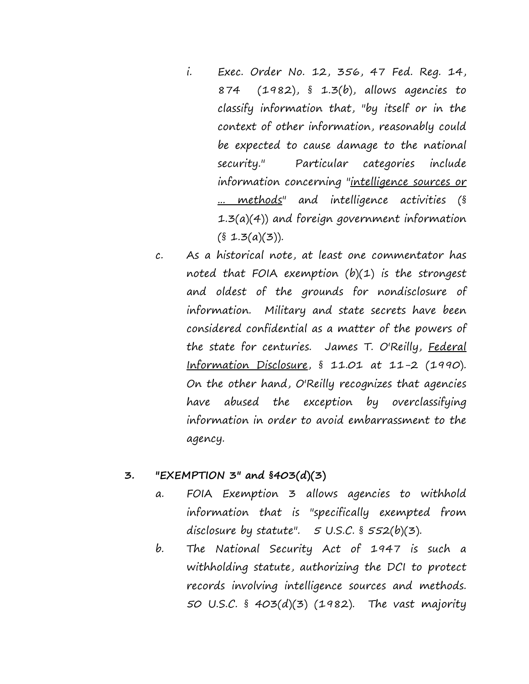- i. Exec. Order No. 12, 356, 47 Fed. Reg. 14, 874 (1982), § 1.3(b), allows agencies to classify information that, "by itself or in the context of other information, reasonably could be expected to cause damage to the national security." Particular categories include information concerning "intelligence sources or ... methods" and intelligence activities (§ 1.3(a)(4)) and foreign government information  $(§ 1.3(a)(3)).$
- c. As a historical note, at least one commentator has noted that FOIA exemption  $(b)(1)$  is the strongest and oldest of the grounds for nondisclosure of information. Military and state secrets have been considered confidential as a matter of the powers of the state for centuries. James T. O'Reilly, Federal Information Disclosure, § 11.01 at 11-2 (1990). On the other hand, O'Reilly recognizes that agencies have abused the exception by overclassifying information in order to avoid embarrassment to the agency.

#### **3. "EXEMPTION 3" and §403(d)(3)**

- a. FOIA Exemption 3 allows agencies to withhold information that is "specifically exempted from disclosure by statute".  $5 \text{ U.S.C.}$  §  $552(b)(3)$ .
- b. The National Security Act of 1947 is such a withholding statute, authorizing the DCI to protect records involving intelligence sources and methods. 50 U.S.C. § 403(d)(3) (1982). The vast majority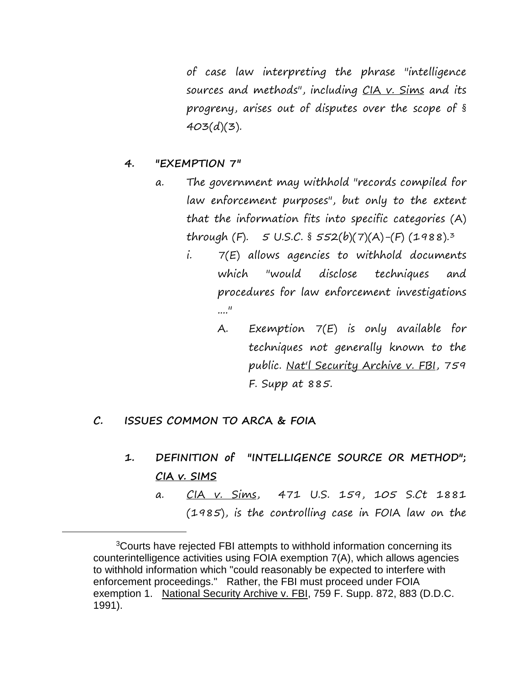of case law interpreting the phrase "intelligence sources and methods", including CIA v. Sims and its progreny, arises out of disputes over the scope of §  $403(d)(3)$ .

#### **4. "EXEMPTION 7"**

- a. The government may withhold "records compiled for law enforcement purposes", but only to the extent that the information fits into specific categories (A) through (F).  $5 \text{ U.S.C.}$   $\frac{5}{5}$   $552(b)(7)(A)-(F)(1988).$ <sup>[3](#page-10-0)</sup>
	- i. 7(E) allows agencies to withhold documents which "would disclose techniques and procedures for law enforcement investigations ...."
		- A. Exemption 7(E) is only available for techniques not generally known to the public. Nat'l Security Archive v. FBI, 759 F. Supp at 885.
- **C. ISSUES COMMON TO ARCA & FOIA**

<span id="page-10-0"></span>i<br>I

- **1. DEFINITION of "INTELLIGENCE SOURCE OR METHOD"; CIA v. SIMS**
	- a. CIA v. Sims, 471 U.S. 159, 105 S.Ct 1881 (1985), is the controlling case in FOIA law on the

<sup>&</sup>lt;sup>3</sup>Courts have rejected FBI attempts to withhold information concerning its counterintelligence activities using FOIA exemption 7(A), which allows agencies to withhold information which "could reasonably be expected to interfere with enforcement proceedings." Rather, the FBI must proceed under FOIA exemption 1. National Security Archive v. FBI, 759 F. Supp. 872, 883 (D.D.C. 1991).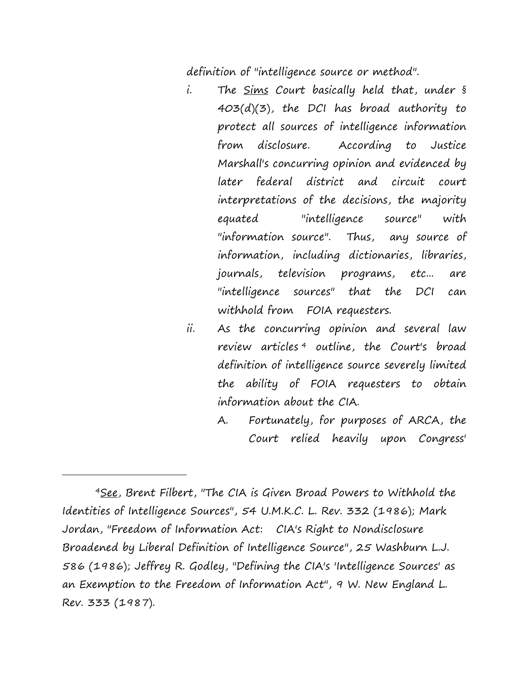definition of "intelligence source or method".

- i. The <u>Sims</u> Court basically held that, under § 403(d)(3), the DCI has broad authority to protect all sources of intelligence information from disclosure. According to Justice Marshall's concurring opinion and evidenced by later federal district and circuit court interpretations of the decisions, the majority equated "intelligence source" with "information source". Thus, any source of information, including dictionaries, libraries, journals, television programs, etc... are "intelligence sources" that the DCI can withhold from FOIA requesters.
- ii. As the concurring opinion and several law review articles<sup>[4](#page-11-0)</sup> outline, the Court's broad definition of intelligence source severely limited the ability of FOIA requesters to obtain information about the CIA.
	- A. Fortunately, for purposes of ARCA, the Court relied heavily upon Congress'

i<br>I

<span id="page-11-0"></span> <sup>4</sup>See, Brent Filbert, "The CIA is Given Broad Powers to Withhold the Identities of Intelligence Sources", 54 U.M.K.C. L. Rev. 332 (1986); Mark Jordan, "Freedom of Information Act: CIA's Right to Nondisclosure Broadened by Liberal Definition of Intelligence Source", 25 Washburn L.J. 586 (1986); Jeffrey R. Godley, "Defining the CIA's 'Intelligence Sources' as an Exemption to the Freedom of Information Act", 9 W. New England L. Rev. 333 (1987).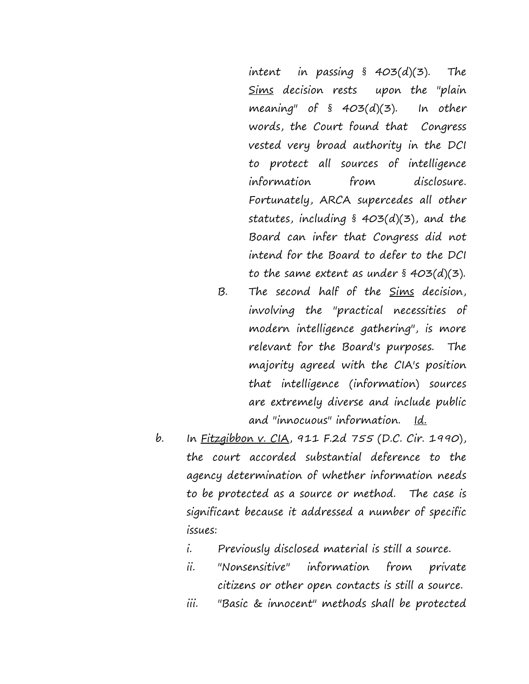intent in passing § 403(d)(3). The Sims decision rests upon the "plain meaning" of  $\S$  403(d)(3). In other words, the Court found that Congress vested very broad authority in the DCI to protect all sources of intelligence information from disclosure. Fortunately, ARCA supercedes all other statutes, including § 403(d)(3), and the Board can infer that Congress did not intend for the Board to defer to the DCI to the same extent as under  $\delta$  403(d)(3).

- B. The second half of the Sims decision, involving the "practical necessities of modern intelligence gathering", is more relevant for the Board's purposes. The majority agreed with the CIA's position that intelligence (information) sources are extremely diverse and include public and "innocuous" information. Id.
- b. In Fitzgibbon v. CIA, 911 F.2d 755 (D.C. Cir. 1990), the court accorded substantial deference to the agency determination of whether information needs to be protected as a source or method. The case is significant because it addressed a number of specific issues:
	- i. Previously disclosed material is still a source.
	- ii. "Nonsensitive" information from private citizens or other open contacts is still a source.
	- iii. "Basic & innocent" methods shall be protected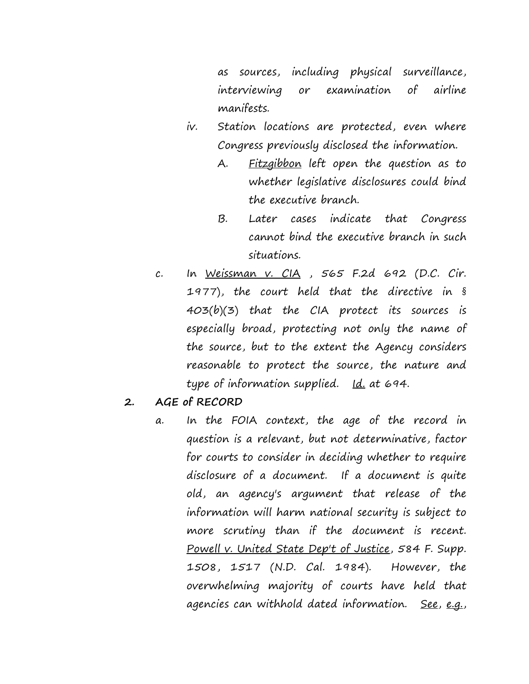as sources, including physical surveillance, interviewing or examination of airline manifests.

- iv. Station locations are protected, even where Congress previously disclosed the information.
	- A. Fitzgibbon left open the question as to whether legislative disclosures could bind the executive branch.
	- B. Later cases indicate that Congress cannot bind the executive branch in such situations.
- c. In Weissman v. CIA , 565 F.2d 692 (D.C. Cir. 1977), the court held that the directive in § 403(b)(3) that the CIA protect its sources is especially broad, protecting not only the name of the source, but to the extent the Agency considers reasonable to protect the source, the nature and type of information supplied. Id. at 694.
- **2. AGE of RECORD**
	- a. In the FOIA context, the age of the record in question is a relevant, but not determinative, factor for courts to consider in deciding whether to require disclosure of a document. If a document is quite old, an agency's argument that release of the information will harm national security is subject to more scrutiny than if the document is recent. Powell v. United State Dep't of Justice, 584 F. Supp. 1508, 1517 (N.D. Cal. 1984). However, the overwhelming majority of courts have held that agencies can withhold dated information. See, e.g.,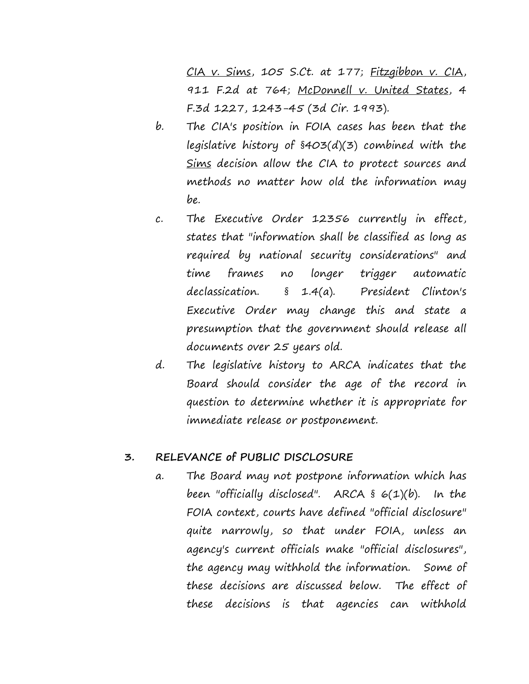CIA v. Sims, 105 S.Ct. at 177; Fitzgibbon v. CIA, 911 F.2d at 764; McDonnell v. United States, 4 F.3d 1227, 1243-45 (3d Cir. 1993).

- b. The CIA's position in FOIA cases has been that the legislative history of §403(d)(3) combined with the Sims decision allow the CIA to protect sources and methods no matter how old the information may be.
- c. The Executive Order 12356 currently in effect, states that "information shall be classified as long as required by national security considerations" and time frames no longer trigger automatic declassication. § 1.4(a).President Clinton's Executive Order may change this and state a presumption that the government should release all documents over 25 years old.
- d. The legislative history to ARCA indicates that the Board should consider the age of the record in question to determine whether it is appropriate for immediate release or postponement.

#### **3. RELEVANCE of PUBLIC DISCLOSURE**

a. The Board may not postpone information which has been "officially disclosed". ARCA  $\S$  6(1)(b). In the FOIA context, courts have defined "official disclosure" quite narrowly, so that under FOIA, unless an agency's current officials make "official disclosures", the agency may withhold the information. Some of these decisions are discussed below. The effect of these decisions is that agencies can withhold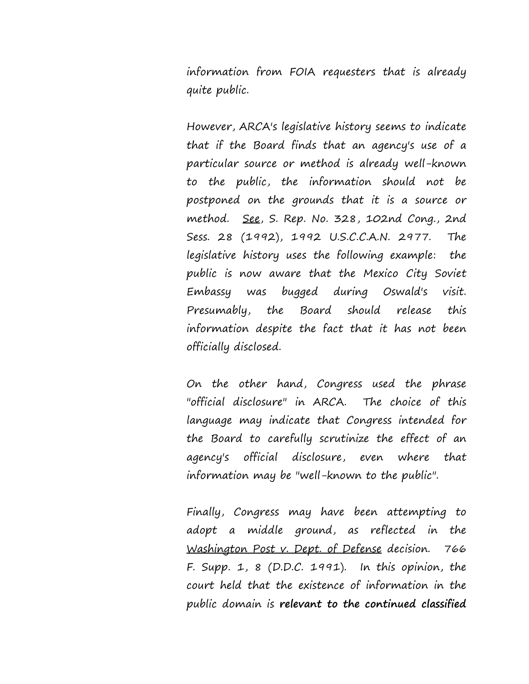information from FOIA requesters that is already quite public.

However, ARCA's legislative history seems to indicate that if the Board finds that an agency's use of a particular source or method is already well-known to the public, the information should not be postponed on the grounds that it is a source or method. See, S. Rep. No. 328, 102nd Cong., 2nd Sess. 28 (1992), 1992 U.S.C.C.A.N. 2977. The legislative history uses the following example: the public is now aware that the Mexico City Soviet Embassy was bugged during Oswald's visit. Presumably, the Board should release this information despite the fact that it has not been officially disclosed.

On the other hand, Congress used the phrase "official disclosure" in ARCA. The choice of this language may indicate that Congress intended for the Board to carefully scrutinize the effect of an agency's official disclosure, even where that information may be "well-known to the public".

Finally, Congress may have been attempting to adopt a middle ground, as reflected in the Washington Post v. Dept. of Defense decision. 766 F. Supp.  $1, 8$  (D.D.C. 1991). In this opinion, the court held that the existence of information in the public domain is **relevant to the continued classified**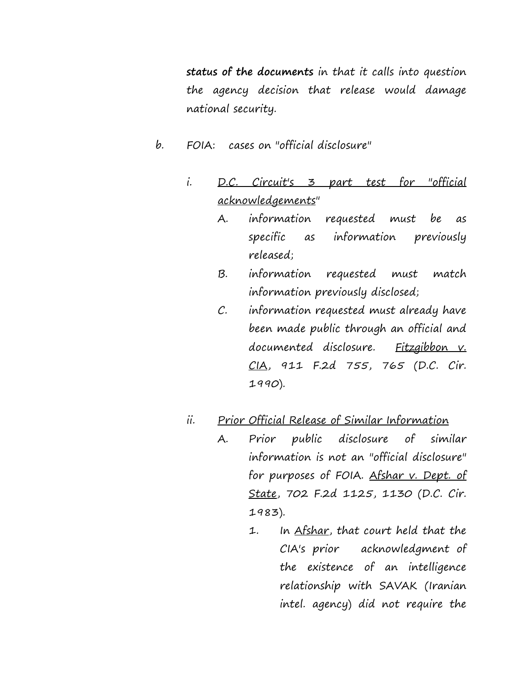**status of the documents** in that it calls into question the agency decision that release would damage national security.

- b. FOIA: cases on "official disclosure"
	- i. D.C. Circuit's 3 part test for "official acknowledgements"
		- A. information requested must be as specific as information previously released;
		- B. information requested must match information previously disclosed;
		- C. information requested must already have been made public through an official and documented disclosure. Fitzgibbon v. CIA, 911 F.2d 755, 765 (D.C. Cir. 1990).

## ii. Prior Official Release of Similar Information

- A. Prior public disclosure of similar information is not an "official disclosure" for purposes of FOIA. Afshar v. Dept. of State, 702 F.2d 1125, 1130 (D.C. Cir. 1983).
	- 1. In Afshar, that court held that the CIA's prior acknowledgment of the existence of an intelligence relationship with SAVAK (Iranian intel. agency) did not require the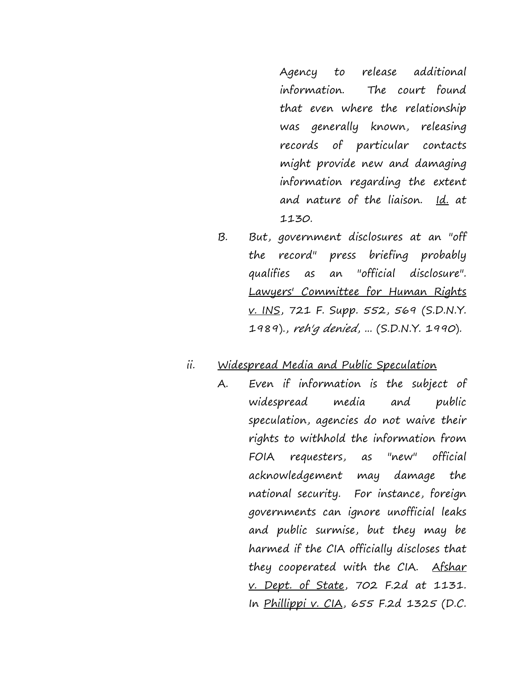Agency to release additional information. The court found that even where the relationship was generally known, releasing records of particular contacts might provide new and damaging information regarding the extent and nature of the liaison. Id. at 1130.

B. But, government disclosures at an "off the record" press briefing probably qualifies as an "official disclosure". Lawyers' Committee for Human Rights v. INS, 721 F. Supp. 552, 569 (S.D.N.Y. 1989)., reh'g denied, ... (S.D.N.Y. 1990).

#### ii. Widespread Media and Public Speculation

A. Even if information is the subject of widespread media and public speculation, agencies do not waive their rights to withhold the information from FOIA requesters, as "new" official acknowledgement may damage the national security. For instance, foreign governments can ignore unofficial leaks and public surmise, but they may be harmed if the CIA officially discloses that they cooperated with the CIA. Afshar v. Dept. of State, 702 F.2d at 1131. In Phillippi v. CIA, 655 F.2d 1325 (D.C.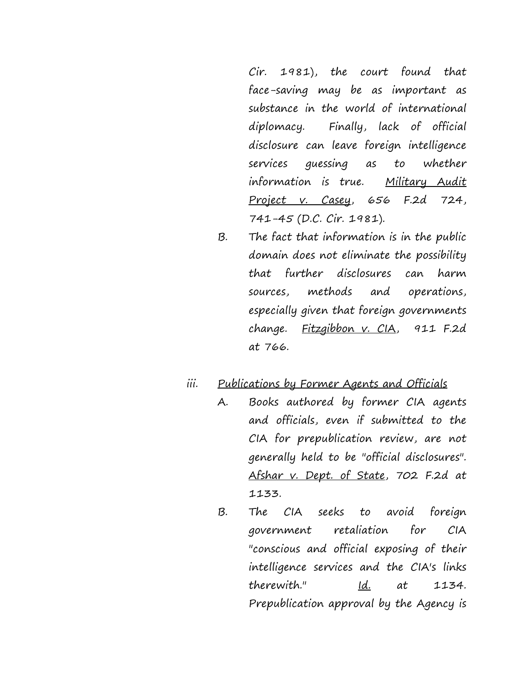Cir. 1981), the court found that face-saving may be as important as substance in the world of international diplomacy. Finally, lack of official disclosure can leave foreign intelligence services guessing as to whether information is true. Military Audit Project v. Casey, 656 F.2d 724, 741-45 (D.C. Cir. 1981).

B. The fact that information is in the public domain does not eliminate the possibility that further disclosures can harm sources, methods and operations, especially given that foreign governments change. Fitzgibbon v. CIA, 911 F.2d at 766.

#### iii. Publications by Former Agents and Officials

- A. Books authored by former CIA agents and officials, even if submitted to the CIA for prepublication review, are not generally held to be "official disclosures". Afshar v. Dept. of State, 702 F.2d at 1133.
- B. The CIA seeks to avoid foreign government retaliation for CIA "conscious and official exposing of their intelligence services and the CIA's links therewith." Id. at 1134. Prepublication approval by the Agency is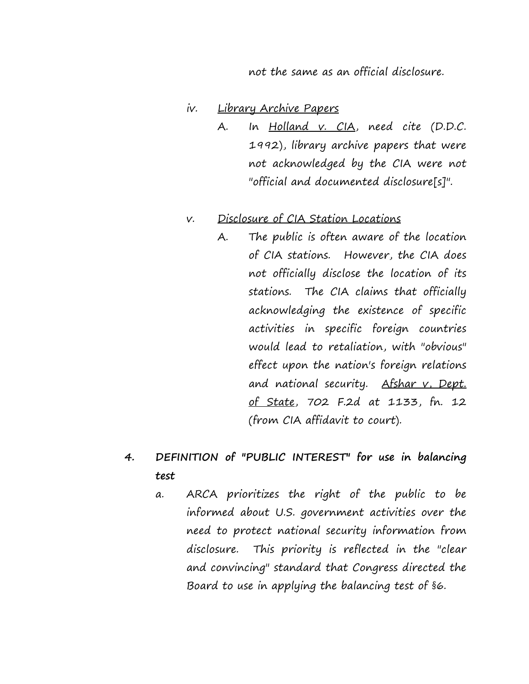not the same as an official disclosure.

#### iv. Library Archive Papers

A. In Holland v. CIA, need cite (D.D.C. 1992), library archive papers that were not acknowledged by the CIA were not "official and documented disclosure[s]".

#### v. Disclosure of CIA Station Locations

A. The public is often aware of the location of CIA stations. However, the CIA does not officially disclose the location of its stations. The CIA claims that officially acknowledging the existence of specific activities in specific foreign countries would lead to retaliation, with "obvious" effect upon the nation's foreign relations and national security. Afshar v, Dept. of State, 702 F.2d at 1133, fn. 12 (from CIA affidavit to court).

# **4. DEFINITION of "PUBLIC INTEREST" for use in balancing test**

a. ARCA prioritizes the right of the public to be informed about U.S. government activities over the need to protect national security information from disclosure. This priority is reflected in the "clear and convincing" standard that Congress directed the Board to use in applying the balancing test of §6.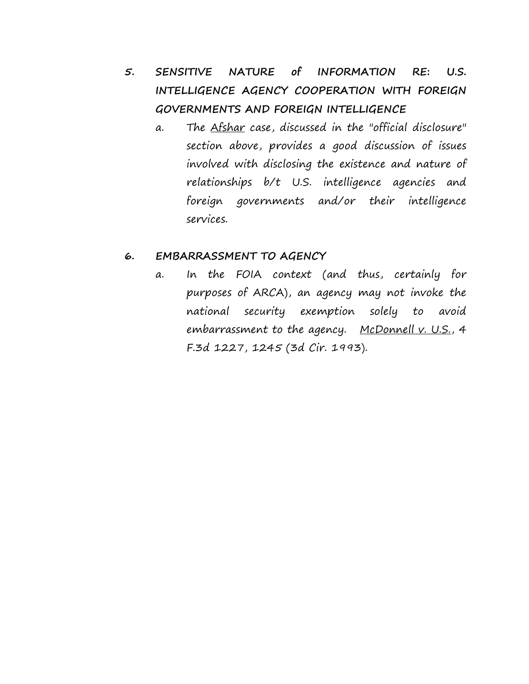- **5. SENSITIVE NATURE of INFORMATION RE: U.S. INTELLIGENCE AGENCY COOPERATION WITH FOREIGN GOVERNMENTS AND FOREIGN INTELLIGENCE**
	- a. The Afshar case, discussed in the "official disclosure" section above, provides a good discussion of issues involved with disclosing the existence and nature of relationships b/t U.S. intelligence agencies and foreign governments and/or their intelligence services.

#### **6. EMBARRASSMENT TO AGENCY**

a. In the FOIA context (and thus, certainly for purposes of ARCA), an agency may not invoke the national security exemption solely to avoid embarrassment to the agency. McDonnell v. U.S., 4 F.3d 1227, 1245 (3d Cir. 1993).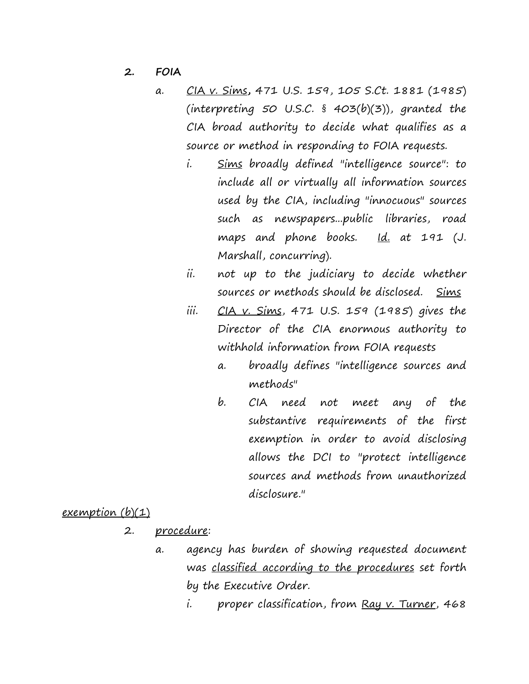- **2. FOIA**
	- a. CIA v. Sims**,** 471 U.S. 159, 105 S.Ct. 1881 (1985) (interpreting  $50$  U.S.C. §  $403(b)(3)$ ), granted the CIA broad authority to decide what qualifies as a source or method in responding to FOIA requests.
		- i. Sims broadly defined "intelligence source": to include all or virtually all information sources used by the CIA, including "innocuous" sources such as newspapers...public libraries, road maps and phone books. Id. at 191 (J. Marshall, concurring).
		- ii. not up to the judiciary to decide whether sources or methods should be disclosed. Sims
		- iii.  $CIA$  v. Sims, 471 U.S. 159 (1985) gives the Director of the CIA enormous authority to withhold information from FOIA requests
			- a. broadly defines "intelligence sources and methods"
			- b. CIA need not meet any of the substantive requirements of the first exemption in order to avoid disclosing allows the DCI to "protect intelligence sources and methods from unauthorized disclosure."

#### <u>exemption</u> (b)(1)

- 2. <u>procedure</u>:
	- a. agency has burden of showing requested document was classified according to the procedures set forth by the Executive Order.
		- i. proper classification, from Ray v. Turner, 468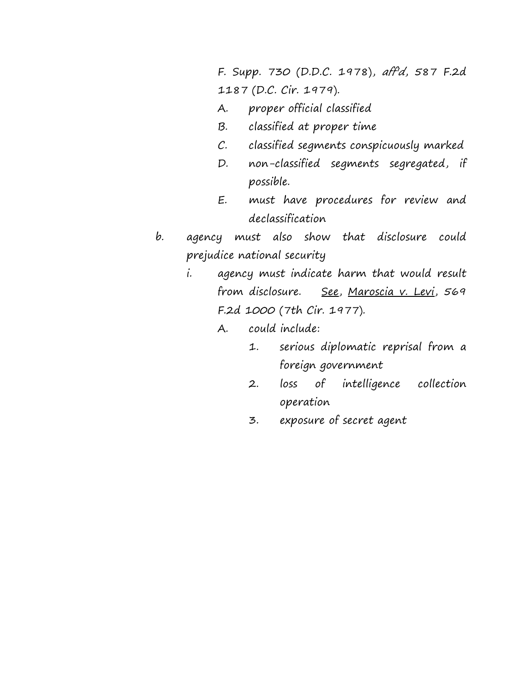F. Supp. 730 (D.D.C. 1978), aff'd, 587 F.2d 1187 (D.C. Cir. 1979).

- A. proper official classified
- B. classified at proper time
- C. classified segments conspicuously marked
- D. non-classified segments segregated, if possible.
- E. must have procedures for review and declassification
- b. agency must also show that disclosure could prejudice national security
	- i. agency must indicate harm that would result from disclosure. See, Maroscia v. Levi, 569 F.2d 1000 (7th Cir. 1977).
		- A. could include:
			- 1. serious diplomatic reprisal from a foreign government
			- 2. loss of intelligence collection operation
			- 3. exposure of secret agent